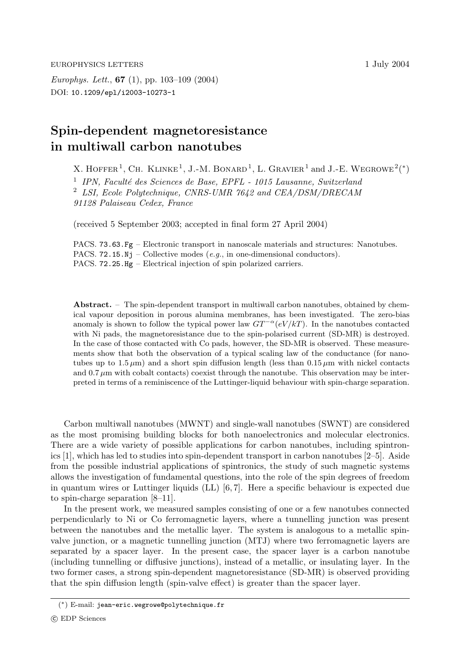*Europhys. Lett.*, **67** (1), pp. 103–109 (2004) DOI: 10.1209/epl/i2003-10273-1

## **Spin-dependent magnetoresistance in multiwall carbon nanotubes**

X. HOFFER<sup>1</sup>, CH. KLINKE<sup>1</sup>, J.-M. BONARD<sup>1</sup>, L. GRAVIER<sup>1</sup> and J.-E. WEGROWE<sup>2</sup>(\*) <sup>1</sup> *IPN, Faculté des Sciences de Base, EPFL - 1015 Lausanne, Switzerland* <sup>2</sup> *LSI, Ecole Polytechnique, CNRS-UMR 7642 and CEA/DSM/DRECAM*

*91128 Palaiseau Cedex, France*

(received 5 September 2003; accepted in final form 27 April 2004)

PACS. 73.63.Fg – Electronic transport in nanoscale materials and structures: Nanotubes. PACS. 72.15.Nj – Collective modes  $(e.g., in one-dimensional conductors)$ . PACS. 72.25.Hg – Electrical injection of spin polarized carriers.

**Abstract.** – The spin-dependent transport in multiwall carbon nanotubes, obtained by chemical vapour deposition in porous alumina membranes, has been investigated. The zero-bias anomaly is shown to follow the typical power law  $GT^{-\alpha}(eV/kT)$ . In the nanotubes contacted with Ni pads, the magnetoresistance due to the spin-polarised current (SD-MR) is destroyed. In the case of those contacted with Co pads, however, the SD-MR is observed. These measurements show that both the observation of a typical scaling law of the conductance (for nanotubes up to  $1.5 \mu m$ ) and a short spin diffusion length (less than  $0.15 \mu m$  with nickel contacts and  $0.7 \mu m$  with cobalt contacts) coexist through the nanotube. This observation may be interpreted in terms of a reminiscence of the Luttinger-liquid behaviour with spin-charge separation.

Carbon multiwall nanotubes (MWNT) and single-wall nanotubes (SWNT) are considered as the most promising building blocks for both nanoelectronics and molecular electronics. There are a wide variety of possible applications for carbon nanotubes, including spintronics [1], which has led to studies into spin-dependent transport in carbon nanotubes [2–5]. Aside from the possible industrial applications of spintronics, the study of such magnetic systems allows the investigation of fundamental questions, into the role of the spin degrees of freedom in quantum wires or Luttinger liquids  $(LL)$  [6,7]. Here a specific behaviour is expected due to spin-charge separation [8–11].

In the present work, we measured samples consisting of one or a few nanotubes connected perpendicularly to Ni or Co ferromagnetic layers, where a tunnelling junction was present between the nanotubes and the metallic layer. The system is analogous to a metallic spinvalve junction, or a magnetic tunnelling junction (MTJ) where two ferromagnetic layers are separated by a spacer layer. In the present case, the spacer layer is a carbon nanotube (including tunnelling or diffusive junctions), instead ofa metallic, or insulating layer. In the two former cases, a strong spin-dependent magnetoresistance (SD-MR) is observed providing that the spin diffusion length (spin-valve effect) is greater than the spacer layer.

<sup>(</sup>∗) E-mail: jean-eric.wegrowe@polytechnique.fr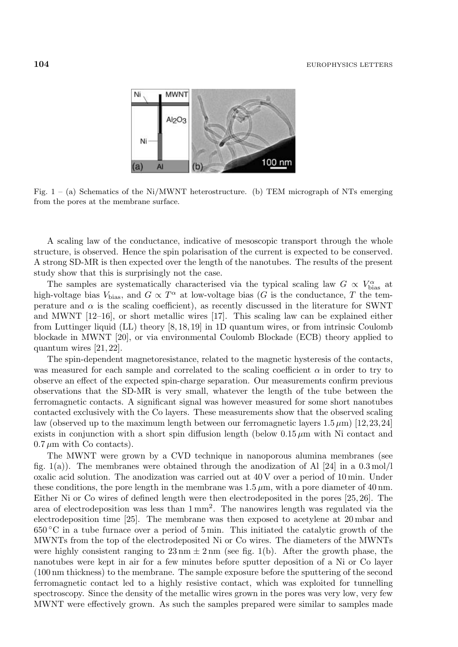

Fig.  $1 - (a)$  Schematics of the Ni/MWNT heterostructure. (b) TEM micrograph of NTs emerging from the pores at the membrane surface.

A scaling law of the conductance, indicative of mesoscopic transport through the whole structure, is observed. Hence the spin polarisation of the current is expected to be conserved. A strong SD-MR is then expected over the length of the nanotubes. The results of the present study show that this is surprisingly not the case.

The samples are systematically characterised via the typical scaling law  $G \propto V_{\text{bias}}^{\alpha}$  at high-voltage bias  $V_{bias}$ , and  $G \propto T^{\alpha}$  at low-voltage bias (G is the conductance, T the temperature and  $\alpha$  is the scaling coefficient), as recently discussed in the literature for SWNT and MWNT [12–16], or short metallic wires [17]. This scaling law can be explained either from Luttinger liquid (LL) theory [8, 18, 19] in 1D quantum wires, or from intrinsic Coulomb blockade in MWNT [20], or via environmental Coulomb Blockade (ECB) theory applied to quantum wires [21, 22].

The spin-dependent magnetoresistance, related to the magnetic hysteresis of the contacts, was measured for each sample and correlated to the scaling coefficient  $\alpha$  in order to try to observe an effect of the expected spin-charge separation. Our measurements confirm previous observations that the SD-MR is very small, whatever the length of the tube between the ferromagnetic contacts. A significant signal was however measured for some short nanotubes contacted exclusively with the Co layers. These measurements show that the observed scaling law (observed up to the maximum length between our ferromagnetic layers  $1.5 \,\mu\text{m}$ ) [12,23,24] exists in conjunction with a short spin diffusion length (below  $0.15 \mu m$  with Ni contact and  $0.7 \mu m$  with Co contacts).

The MWNT were grown by a CVD technique in nanoporous alumina membranes (see fig. 1(a)). The membranes were obtained through the anodization of Al  $[24]$  in a 0.3 mol/l oxalic acid solution. The anodization was carried out at  $40\,\text{V}$  over a period of  $10\,\text{min}$ . Under these conditions, the pore length in the membrane was  $1.5 \,\mu$ m, with a pore diameter of 40 nm. Either Ni or Co wires of defined length were then electrodeposited in the pores  $[25, 26]$ . The area of electrodeposition was less than  $1 \text{ mm}^2$ . The nanowires length was regulated via the electrodeposition time [25]. The membrane was then exposed to acetylene at 20 mbar and  $650\textdegree$ C in a tube furnace over a period of 5 min. This initiated the catalytic growth of the MWNTs from the top of the electrodeposited Ni or Co wires. The diameters of the MWNTs were highly consistent ranging to  $23 \text{ nm} \pm 2 \text{ nm}$  (see fig. 1(b). After the growth phase, the nanotubes were kept in air for a few minutes before sputter deposition of a Ni or Co layer (100 nm thickness) to the membrane. The sample exposure before the sputtering of the second ferromagnetic contact led to a highly resistive contact, which was exploited for tunnelling spectroscopy. Since the density of the metallic wires grown in the pores was very low, very few MWNT were effectively grown. As such the samples prepared were similar to samples made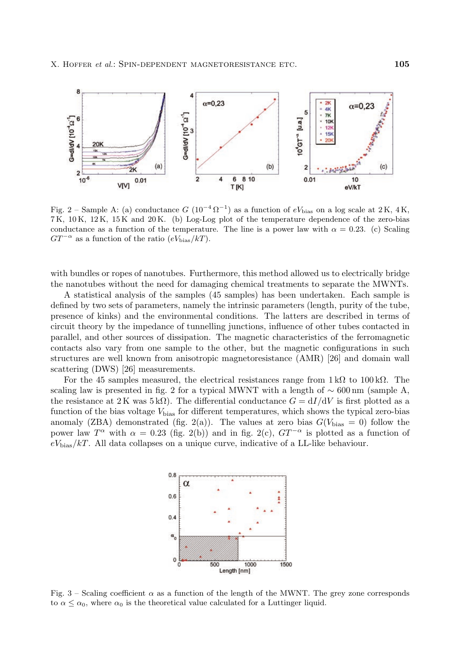

Fig. 2 – Sample A: (a) conductance G ( $10^{-4} \Omega^{-1}$ ) as a function of eV<sub>bias</sub> on a log scale at 2 K, 4 K, 7 K, 10 K, 12 K, 15 K and 20 K. (b)Log-Log plot of the temperature dependence of the zero-bias conductance as a function of the temperature. The line is a power law with  $\alpha = 0.23$ . (c) Scaling  $GT^{-\alpha}$  as a function of the ratio  $(eV_{\text{bias}}/kT)$ .

with bundles or ropes of nanotubes. Furthermore, this method allowed us to electrically bridge the nanotubes without the need for damaging chemical treatments to separate the MWNTs.

A statistical analysis ofthe samples (45 samples) has been undertaken. Each sample is defined by two sets of parameters, namely the intrinsic parameters (length, purity of the tube, presence ofkinks) and the environmental conditions. The latters are described in terms of circuit theory by the impedance of tunnelling junctions, influence of other tubes contacted in parallel, and other sources of dissipation. The magnetic characteristics of the ferromagnetic contacts also vary from one sample to the other, but the magnetic configurations in such structures are well known from anisotropic magnetoresistance (AMR) [26] and domain wall scattering (DWS) [26] measurements.

For the 45 samples measured, the electrical resistances range from  $1 \text{ k}\Omega$  to  $100 \text{ k}\Omega$ . The scaling law is presented in fig. 2 for a typical MWNT with a length of  $\sim 600 \text{ nm}$  (sample A, the resistance at 2K was 5 kΩ). The differential conductance  $G = dI/dV$  is first plotted as a function of the bias voltage  $V_{bias}$  for different temperatures, which shows the typical zero-bias anomaly (ZBA) demonstrated (fig. 2(a)). The values at zero bias  $G(V_{bias} = 0)$  follow the power law  $T^{\alpha}$  with  $\alpha = 0.23$  (fig. 2(b)) and in fig. 2(c),  $GT^{-\alpha}$  is plotted as a function of  $eV_{bias}/kT$ . All data collapses on a unique curve, indicative of a LL-like behaviour.



Fig. 3 – Scaling coefficient  $\alpha$  as a function of the length of the MWNT. The grey zone corresponds to  $\alpha \leq \alpha_0$ , where  $\alpha_0$  is the theoretical value calculated for a Luttinger liquid.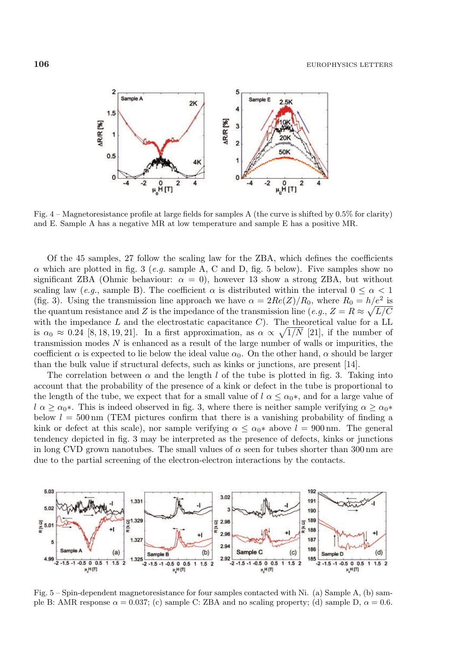

Fig. 4 – Magnetoresistance profile at large fields for samples A (the curve is shifted by 0.5% for clarity) and E. Sample A has a negative MR at low temperature and sample E has a positive MR.

Of the 45 samples, 27 follow the scaling law for the ZBA, which defines the coefficients  $\alpha$  which are plotted in fig. 3 (*e.g.* sample A, C and D, fig. 5 below). Five samples show no significant ZBA (Ohmic behaviour:  $\alpha = 0$ ), however 13 show a strong ZBA, but without scaling law (*e.g.*, sample B). The coefficient  $\alpha$  is distributed within the interval  $0 \leq \alpha < 1$ (fig. 3). Using the transmission line approach we have  $\alpha = 2Re(Z)/R_0$ , where  $R_0 = h/e^2$  is the quantum resistance and Z is the impedance of the transmission line (*e.g.*,  $Z = R \approx \sqrt{L/C}$ with the impedance  $L$  and the electrostatic capacitance  $C$ ). The theoretical value for a LL is  $\alpha_0 \approx 0.24$  [8, 18, 19, 21]. In a first approximation, as  $\alpha \propto \sqrt{1/N}$  [21], if the number of transmission modes  $N$  is enhanced as a result of the large number of walls or impurities, the coefficient  $\alpha$  is expected to lie below the ideal value  $\alpha_0$ . On the other hand,  $\alpha$  should be larger than the bulk value if structural defects, such as kinks or junctions, are present  $[14]$ .

The correlation between  $\alpha$  and the length l of the tube is plotted in fig. 3. Taking into account that the probability of the presence of a kink or defect in the tube is proportional to the length of the tube, we expect that for a small value of  $l \alpha \leq \alpha_0^*$ , and for a large value of  $l \alpha \geq \alpha_0$ \*. This is indeed observed in fig. 3, where there is neither sample verifying  $\alpha \geq \alpha_0$ \* below  $l = 500 \text{ nm}$  (TEM pictures confirm that there is a vanishing probability of finding a kink or defect at this scale), nor sample verifying  $\alpha \leq \alpha_0$ <sup>\*</sup> above  $l = 900$  nm. The general tendency depicted in fig. 3 may be interpreted as the presence of defects, kinks or junctions in long CVD grown nanotubes. The small values of  $\alpha$  seen for tubes shorter than 300 nm are due to the partial screening of the electron-electron interactions by the contacts.



Fig.  $5 - Spin$ -dependent magnetoresistance for four samples contacted with Ni. (a) Sample A, (b) sample B: AMR response  $\alpha = 0.037$ ; (c) sample C: ZBA and no scaling property; (d) sample D,  $\alpha = 0.6$ .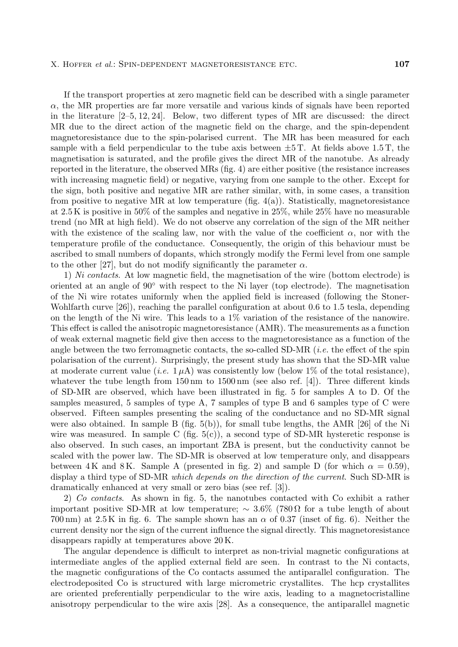Ifthe transport properties at zero magnetic field can be described with a single parameter  $\alpha$ , the MR properties are far more versatile and various kinds of signals have been reported in the literature  $[2-5, 12, 24]$ . Below, two different types of MR are discussed: the direct MR due to the direct action of the magnetic field on the charge, and the spin-dependent magnetoresistance due to the spin-polarised current. The MR has been measured for each sample with a field perpendicular to the tube axis between  $\pm 5$  T. At fields above 1.5 T, the magnetisation is saturated, and the profile gives the direct MR of the nanotube. As already reported in the literature, the observed MRs (fig. 4) are either positive (the resistance increases with increasing magnetic field) or negative, varying from one sample to the other. Except for the sign, both positive and negative MR are rather similar, with, in some cases, a transition from positive to negative MR at low temperature (fig.  $4(a)$ ). Statistically, magnetoresistance at  $2.5 \text{ K}$  is positive in 50% of the samples and negative in 25%, while 25% have no measurable trend (no MR at high field). We do not observe any correlation of the sign of the MR neither with the existence of the scaling law, nor with the value of the coefficient  $\alpha$ , nor with the temperature profile of the conductance. Consequently, the origin of this behaviour must be ascribed to small numbers of dopants, which strongly modify the Fermi level from one sample to the other [27], but do not modify significantly the parameter  $\alpha$ .

1) *Ni contacts*. At low magnetic field, the magnetisation ofthe wire (bottom electrode) is oriented at an angle of  $90°$  with respect to the Ni layer (top electrode). The magnetisation of the Ni wire rotates uniformly when the applied field is increased (following the Stoner-Wohlfarth curve [26]), reaching the parallel configuration at about 0.6 to 1.5 tesla, depending on the length of the Ni wire. This leads to a  $1\%$  variation of the resistance of the nanowire. This effect is called the anisotropic magnetoresistance (AMR). The measurements as a function ofweak external magnetic field give then access to the magnetoresistance as a function ofthe angle between the two ferromagnetic contacts, the so-called  $SD-MR$  *(i.e.* the effect of the spin polarisation ofthe current). Surprisingly, the present study has shown that the SD-MR value at moderate current value (*i.e.*  $1 \mu A$ ) was consistently low (below 1% of the total resistance), whatever the tube length from  $150 \text{ nm}$  to  $1500 \text{ nm}$  (see also ref. [4]). Three different kinds of SD-MR are observed, which have been illustrated in fig.  $5$  for samples A to D. Of the samples measured, 5 samples of type A, 7 samples of type B and 6 samples type of C were observed. Fifteen samples presenting the scaling of the conductance and no SD-MR signal were also obtained. In sample B  $(f_1, f_2, f_3)$ , for small tube lengths, the AMR [26] of the Ni wire was measured. In sample C (fig.  $5(c)$ ), a second type of SD-MR hysteretic response is also observed. In such cases, an important ZBA is present, but the conductivity cannot be scaled with the power law. The SD-MR is observed at low temperature only, and disappears between 4 K and 8 K. Sample A (presented in fig. 2) and sample D (for which  $\alpha = 0.59$ ), display a third type of SD-MR *which depends on the direction of the current*. Such SD-MR is dramatically enhanced at very small or zero bias (see ref. [3]).

2) *Co contacts*. As shown in fig. 5, the nanotubes contacted with Co exhibit a rather important positive SD-MR at low temperature;  $\sim 3.6\%$  (780  $\Omega$  for a tube length of about 700 nm) at  $2.5 \text{ K}$  in fig. 6. The sample shown has an  $\alpha$  of 0.37 (inset of fig. 6). Neither the current density nor the sign of the current influence the signal directly. This magnetoresistance disappears rapidly at temperatures above 20 K.

The angular dependence is difficult to interpret as non-trivial magnetic configurations at intermediate angles of the applied external field are seen. In contrast to the Ni contacts, the magnetic configurations ofthe Co contacts assumed the antiparallel configuration. The electrodeposited Co is structured with large micrometric crystallites. The hcp crystallites are oriented preferentially perpendicular to the wire axis, leading to a magnetocristalline anisotropy perpendicular to the wire axis [28]. As a consequence, the antiparallel magnetic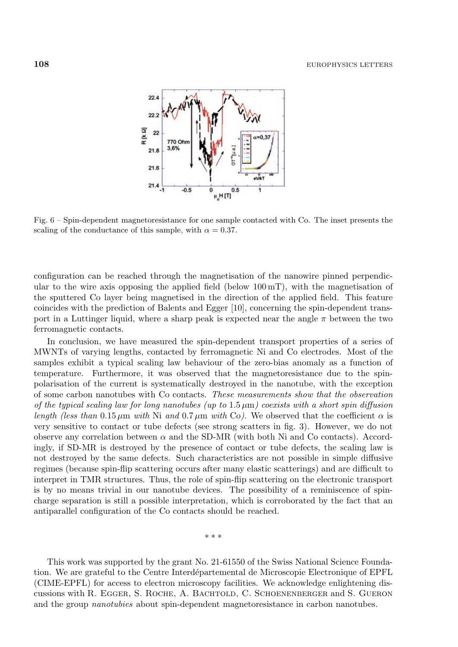

Fig. 6 – Spin-dependent magnetoresistance for one sample contacted with Co. The inset presents the scaling of the conductance of this sample, with  $\alpha = 0.37$ .

configuration can be reached through the magnetisation of the nanowire pinned perpendicular to the wire axis opposing the applied field (below  $100 \,\mathrm{mT}$ ), with the magnetisation of the sputtered Co layer being magnetised in the direction of the applied field. This feature coincides with the prediction of Balents and Egger  $[10]$ , concerning the spin-dependent transport in a Luttinger liquid, where a sharp peak is expected near the angle  $\pi$  between the two ferromagnetic contacts.

In conclusion, we have measured the spin-dependent transport properties of a series of MWNTs of varying lengths, contacted by ferromagnetic Ni and Co electrodes. Most of the samples exhibit a typical scaling law behaviour of the zero-bias anomaly as a function of temperature. Furthermore, it was observed that the magnetoresistance due to the spinpolarisation ofthe current is systematically destroyed in the nanotube, with the exception ofsome carbon nanotubes with Co contacts. *These measurements show that the observation of the typical scaling law for long nanotubes (up to* 1.5 µm*) coexists with a short spin diffusion length (less than* 0.15  $\mu$ m *with* Ni *and* 0.7  $\mu$ m *with* Co). We observed that the coefficient  $\alpha$  is very sensitive to contact or tube defects (see strong scatters in fig. 3). However, we do not observe any correlation between  $\alpha$  and the SD-MR (with both Ni and Co contacts). Accordingly, if SD-MR is destroyed by the presence of contact or tube defects, the scaling law is not destroyed by the same defects. Such characteristics are not possible in simple diffusive regimes (because spin-flip scattering occurs after many elastic scatterings) and are difficult to interpret in TMR structures. Thus, the role of spin-flip scattering on the electronic transport is by no means trivial in our nanotube devices. The possibility of a reminiscence of spincharge separation is still a possible interpretation, which is corroborated by the fact that an antiparallel configuration of the Co contacts should be reached.

∗∗∗

This work was supported by the grant No. 21-61550 of the Swiss National Science Foundation. We are grateful to the Centre Interdépartemental de Microscopie Electronique of EPFL (CIME-EPFL) for access to electron microscopy facilities. We acknowledge enlightening discussions with R. Egger, S. Roche, A. Bachtold, C. Schoenenberger and S. Gueron and the group *nanotubies* about spin-dependent magnetoresistance in carbon nanotubes.